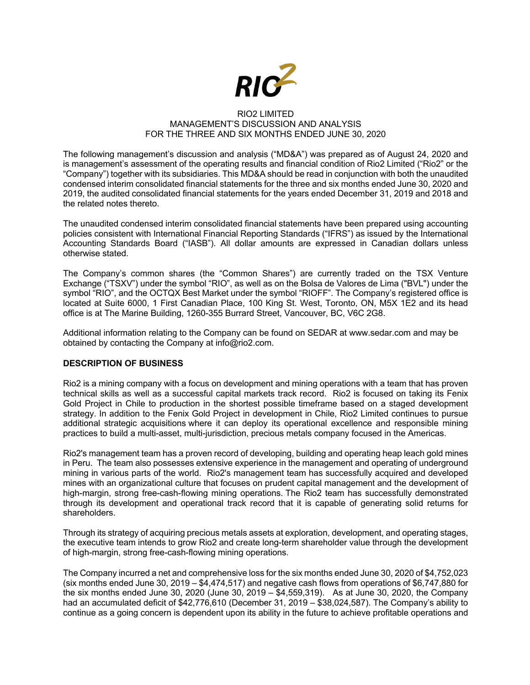

#### RIO2 LIMITED MANAGEMENT'S DISCUSSION AND ANALYSIS FOR THE THREE AND SIX MONTHS ENDED JUNE 30, 2020

The following management's discussion and analysis ("MD&A") was prepared as of August 24, 2020 and is management's assessment of the operating results and financial condition of Rio2 Limited ("Rio2" or the "Company") together with its subsidiaries. This MD&A should be read in conjunction with both the unaudited condensed interim consolidated financial statements for the three and six months ended June 30, 2020 and 2019, the audited consolidated financial statements for the years ended December 31, 2019 and 2018 and the related notes thereto.

The unaudited condensed interim consolidated financial statements have been prepared using accounting policies consistent with International Financial Reporting Standards ("IFRS") as issued by the International Accounting Standards Board ("IASB"). All dollar amounts are expressed in Canadian dollars unless otherwise stated.

The Company's common shares (the "Common Shares") are currently traded on the TSX Venture Exchange ("TSXV") under the symbol "RIO", as well as on the Bolsa de Valores de Lima ("BVL") under the symbol "RIO", and the OCTQX Best Market under the symbol "RIOFF". The Company's registered office is located at Suite 6000, 1 First Canadian Place, 100 King St. West, Toronto, ON, M5X 1E2 and its head office is at The Marine Building, 1260-355 Burrard Street, Vancouver, BC, V6C 2G8.

Additional information relating to the Company can be found on SEDAR at www.sedar.com and may be obtained by contacting the Company at info@rio2.com.

## **DESCRIPTION OF BUSINESS**

Rio2 is a mining company with a focus on development and mining operations with a team that has proven technical skills as well as a successful capital markets track record. Rio2 is focused on taking its Fenix Gold Project in Chile to production in the shortest possible timeframe based on a staged development strategy. In addition to the Fenix Gold Project in development in Chile, Rio2 Limited continues to pursue additional strategic acquisitions where it can deploy its operational excellence and responsible mining practices to build a multi-asset, multi-jurisdiction, precious metals company focused in the Americas.

Rio2's management team has a proven record of developing, building and operating heap leach gold mines in Peru. The team also possesses extensive experience in the management and operating of underground mining in various parts of the world. Rio2's management team has successfully acquired and developed mines with an organizational culture that focuses on prudent capital management and the development of high-margin, strong free-cash-flowing mining operations. The Rio2 team has successfully demonstrated through its development and operational track record that it is capable of generating solid returns for shareholders.

Through its strategy of acquiring precious metals assets at exploration, development, and operating stages, the executive team intends to grow Rio2 and create long-term shareholder value through the development of high-margin, strong free-cash-flowing mining operations.

The Company incurred a net and comprehensive loss for the six months ended June 30, 2020 of \$4,752,023 (six months ended June 30, 2019 – \$4,474,517) and negative cash flows from operations of \$6,747,880 for the six months ended June 30, 2020 (June 30, 2019 –  $\frac{1}{3}4,559,319$ ). As at June 30, 2020, the Company had an accumulated deficit of \$42,776,610 (December 31, 2019 – \$38,024,587). The Company's ability to continue as a going concern is dependent upon its ability in the future to achieve profitable operations and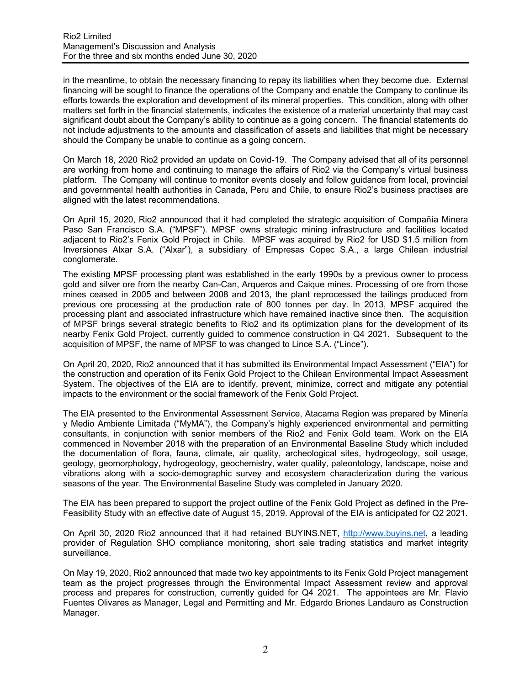in the meantime, to obtain the necessary financing to repay its liabilities when they become due. External financing will be sought to finance the operations of the Company and enable the Company to continue its efforts towards the exploration and development of its mineral properties. This condition, along with other matters set forth in the financial statements, indicates the existence of a material uncertainty that may cast significant doubt about the Company's ability to continue as a going concern. The financial statements do not include adjustments to the amounts and classification of assets and liabilities that might be necessary should the Company be unable to continue as a going concern.

On March 18, 2020 Rio2 provided an update on Covid-19. The Company advised that all of its personnel are working from home and continuing to manage the affairs of Rio2 via the Company's virtual business platform. The Company will continue to monitor events closely and follow guidance from local, provincial and governmental health authorities in Canada, Peru and Chile, to ensure Rio2's business practises are aligned with the latest recommendations.

On April 15, 2020, Rio2 announced that it had completed the strategic acquisition of Compañía Minera Paso San Francisco S.A. ("MPSF"). MPSF owns strategic mining infrastructure and facilities located adjacent to Rio2's Fenix Gold Project in Chile. MPSF was acquired by Rio2 for USD \$1.5 million from Inversiones Alxar S.A. ("Alxar"), a subsidiary of Empresas Copec S.A., a large Chilean industrial conglomerate.

The existing MPSF processing plant was established in the early 1990s by a previous owner to process gold and silver ore from the nearby Can-Can, Arqueros and Caique mines. Processing of ore from those mines ceased in 2005 and between 2008 and 2013, the plant reprocessed the tailings produced from previous ore processing at the production rate of 800 tonnes per day. In 2013, MPSF acquired the processing plant and associated infrastructure which have remained inactive since then. The acquisition of MPSF brings several strategic benefits to Rio2 and its optimization plans for the development of its nearby Fenix Gold Project, currently guided to commence construction in Q4 2021. Subsequent to the acquisition of MPSF, the name of MPSF to was changed to Lince S.A. ("Lince").

On April 20, 2020, Rio2 announced that it has submitted its Environmental Impact Assessment ("EIA") for the construction and operation of its Fenix Gold Project to the Chilean Environmental Impact Assessment System. The objectives of the EIA are to identify, prevent, minimize, correct and mitigate any potential impacts to the environment or the social framework of the Fenix Gold Project.

The EIA presented to the Environmental Assessment Service, Atacama Region was prepared by Minería y Medio Ambiente Limitada ("MyMA"), the Company's highly experienced environmental and permitting consultants, in conjunction with senior members of the Rio2 and Fenix Gold team. Work on the EIA commenced in November 2018 with the preparation of an Environmental Baseline Study which included the documentation of flora, fauna, climate, air quality, archeological sites, hydrogeology, soil usage, geology, geomorphology, hydrogeology, geochemistry, water quality, paleontology, landscape, noise and vibrations along with a socio-demographic survey and ecosystem characterization during the various seasons of the year. The Environmental Baseline Study was completed in January 2020.

The EIA has been prepared to support the project outline of the Fenix Gold Project as defined in the Pre-Feasibility Study with an effective date of August 15, 2019. Approval of the EIA is anticipated for Q2 2021.

On April 30, 2020 Rio2 announced that it had retained BUYINS.NET, http://www.buyins.net, a leading provider of Regulation SHO compliance monitoring, short sale trading statistics and market integrity surveillance.

On May 19, 2020, Rio2 announced that made two key appointments to its Fenix Gold Project management team as the project progresses through the Environmental Impact Assessment review and approval process and prepares for construction, currently guided for Q4 2021. The appointees are Mr. Flavio Fuentes Olivares as Manager, Legal and Permitting and Mr. Edgardo Briones Landauro as Construction Manager.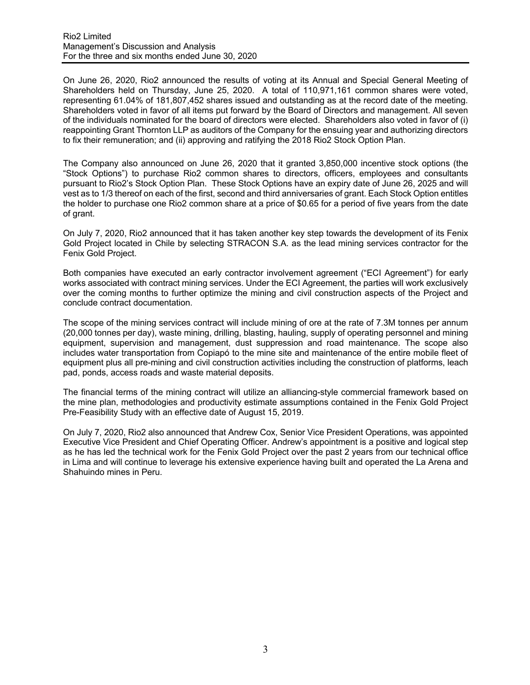On June 26, 2020, Rio2 announced the results of voting at its Annual and Special General Meeting of Shareholders held on Thursday, June 25, 2020. A total of 110,971,161 common shares were voted, representing 61.04% of 181,807,452 shares issued and outstanding as at the record date of the meeting. Shareholders voted in favor of all items put forward by the Board of Directors and management. All seven of the individuals nominated for the board of directors were elected. Shareholders also voted in favor of (i) reappointing Grant Thornton LLP as auditors of the Company for the ensuing year and authorizing directors to fix their remuneration; and (ii) approving and ratifying the 2018 Rio2 Stock Option Plan.

The Company also announced on June 26, 2020 that it granted 3,850,000 incentive stock options (the "Stock Options") to purchase Rio2 common shares to directors, officers, employees and consultants pursuant to Rio2's Stock Option Plan. These Stock Options have an expiry date of June 26, 2025 and will vest as to 1/3 thereof on each of the first, second and third anniversaries of grant. Each Stock Option entitles the holder to purchase one Rio2 common share at a price of \$0.65 for a period of five years from the date of grant.

On July 7, 2020, Rio2 announced that it has taken another key step towards the development of its Fenix Gold Project located in Chile by selecting STRACON S.A. as the lead mining services contractor for the Fenix Gold Project.

Both companies have executed an early contractor involvement agreement ("ECI Agreement") for early works associated with contract mining services. Under the ECI Agreement, the parties will work exclusively over the coming months to further optimize the mining and civil construction aspects of the Project and conclude contract documentation.

The scope of the mining services contract will include mining of ore at the rate of 7.3M tonnes per annum (20,000 tonnes per day), waste mining, drilling, blasting, hauling, supply of operating personnel and mining equipment, supervision and management, dust suppression and road maintenance. The scope also includes water transportation from Copiapó to the mine site and maintenance of the entire mobile fleet of equipment plus all pre-mining and civil construction activities including the construction of platforms, leach pad, ponds, access roads and waste material deposits.

The financial terms of the mining contract will utilize an alliancing-style commercial framework based on the mine plan, methodologies and productivity estimate assumptions contained in the Fenix Gold Project Pre-Feasibility Study with an effective date of August 15, 2019.

On July 7, 2020, Rio2 also announced that Andrew Cox, Senior Vice President Operations, was appointed Executive Vice President and Chief Operating Officer. Andrew's appointment is a positive and logical step as he has led the technical work for the Fenix Gold Project over the past 2 years from our technical office in Lima and will continue to leverage his extensive experience having built and operated the La Arena and Shahuindo mines in Peru.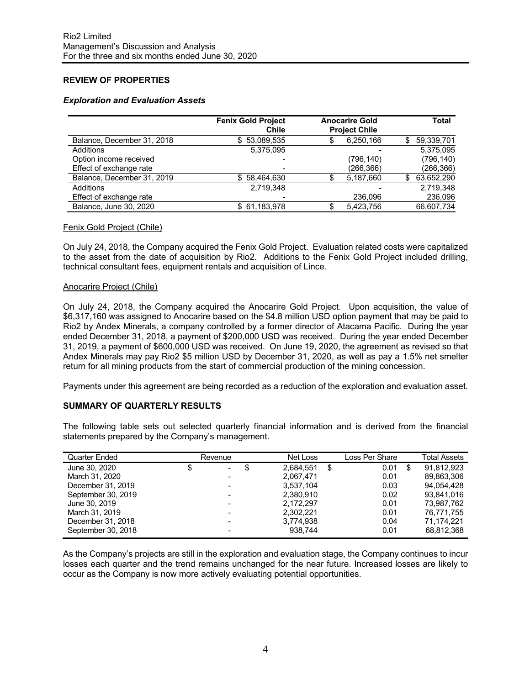# **REVIEW OF PROPERTIES**

#### *Exploration and Evaluation Assets*

|                            | <b>Fenix Gold Project</b><br>Chile | <b>Anocarire Gold</b><br><b>Project Chile</b> | Total |            |  |
|----------------------------|------------------------------------|-----------------------------------------------|-------|------------|--|
| Balance, December 31, 2018 | 53.089.535<br>SS.                  | 6,250,166                                     | S     | 59,339,701 |  |
| Additions                  | 5,375,095                          |                                               |       | 5,375,095  |  |
| Option income received     |                                    | (796,140)                                     |       | (796, 140) |  |
| Effect of exchange rate    |                                    | (266,366)                                     |       | (266,366)  |  |
| Balance, December 31, 2019 | 58,464,630<br>S.                   | 5,187,660                                     | S     | 63,652,290 |  |
| Additions                  | 2.719.348                          |                                               |       | 2.719.348  |  |
| Effect of exchange rate    |                                    | 236.096                                       |       | 236,096    |  |
| Balance, June 30, 2020     | \$61,183,978                       | 5.423.756                                     |       | 66.607.734 |  |

#### Fenix Gold Project (Chile)

On July 24, 2018, the Company acquired the Fenix Gold Project. Evaluation related costs were capitalized to the asset from the date of acquisition by Rio2. Additions to the Fenix Gold Project included drilling, technical consultant fees, equipment rentals and acquisition of Lince.

#### Anocarire Project (Chile)

On July 24, 2018, the Company acquired the Anocarire Gold Project. Upon acquisition, the value of \$6,317,160 was assigned to Anocarire based on the \$4.8 million USD option payment that may be paid to Rio2 by Andex Minerals, a company controlled by a former director of Atacama Pacific. During the year ended December 31, 2018, a payment of \$200,000 USD was received. During the year ended December 31, 2019, a payment of \$600,000 USD was received. On June 19, 2020, the agreement as revised so that Andex Minerals may pay Rio2 \$5 million USD by December 31, 2020, as well as pay a 1.5% net smelter return for all mining products from the start of commercial production of the mining concession.

Payments under this agreement are being recorded as a reduction of the exploration and evaluation asset.

## **SUMMARY OF QUARTERLY RESULTS**

The following table sets out selected quarterly financial information and is derived from the financial statements prepared by the Company's management.

| Quarter Ended      | Revenue                  | Net Loss        | Loss Per Share | <b>Total Assets</b> |
|--------------------|--------------------------|-----------------|----------------|---------------------|
| June 30, 2020      | \$<br>$\blacksquare$     | \$<br>2.684.551 | \$<br>0.01     | \$<br>91.812.923    |
| March 31, 2020     |                          | 2,067,471       | 0.01           | 89.863.306          |
| December 31, 2019  |                          | 3.537.104       | 0.03           | 94.054.428          |
| September 30, 2019 | $\overline{\phantom{0}}$ | 2,380,910       | 0.02           | 93.841.016          |
| June 30, 2019      |                          | 2.172.297       | 0.01           | 73.987.762          |
| March 31, 2019     |                          | 2,302,221       | 0.01           | 76,771,755          |
| December 31, 2018  |                          | 3,774,938       | 0.04           | 71,174,221          |
| September 30, 2018 |                          | 938.744         | 0.01           | 68,812,368          |

As the Company's projects are still in the exploration and evaluation stage, the Company continues to incur losses each quarter and the trend remains unchanged for the near future. Increased losses are likely to occur as the Company is now more actively evaluating potential opportunities.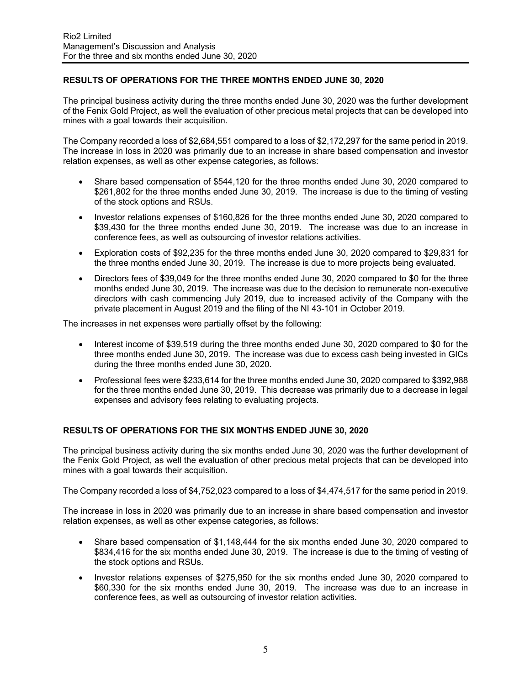# **RESULTS OF OPERATIONS FOR THE THREE MONTHS ENDED JUNE 30, 2020**

The principal business activity during the three months ended June 30, 2020 was the further development of the Fenix Gold Project, as well the evaluation of other precious metal projects that can be developed into mines with a goal towards their acquisition.

The Company recorded a loss of \$2,684,551 compared to a loss of \$2,172,297 for the same period in 2019. The increase in loss in 2020 was primarily due to an increase in share based compensation and investor relation expenses, as well as other expense categories, as follows:

- Share based compensation of \$544,120 for the three months ended June 30, 2020 compared to \$261,802 for the three months ended June 30, 2019. The increase is due to the timing of vesting of the stock options and RSUs.
- Investor relations expenses of \$160,826 for the three months ended June 30, 2020 compared to \$39,430 for the three months ended June 30, 2019. The increase was due to an increase in conference fees, as well as outsourcing of investor relations activities.
- Exploration costs of \$92,235 for the three months ended June 30, 2020 compared to \$29,831 for the three months ended June 30, 2019. The increase is due to more projects being evaluated.
- Directors fees of \$39,049 for the three months ended June 30, 2020 compared to \$0 for the three months ended June 30, 2019. The increase was due to the decision to remunerate non-executive directors with cash commencing July 2019, due to increased activity of the Company with the private placement in August 2019 and the filing of the NI 43-101 in October 2019.

The increases in net expenses were partially offset by the following:

- Interest income of \$39,519 during the three months ended June 30, 2020 compared to \$0 for the three months ended June 30, 2019. The increase was due to excess cash being invested in GICs during the three months ended June 30, 2020.
- Professional fees were \$233,614 for the three months ended June 30, 2020 compared to \$392,988 for the three months ended June 30, 2019. This decrease was primarily due to a decrease in legal expenses and advisory fees relating to evaluating projects.

## **RESULTS OF OPERATIONS FOR THE SIX MONTHS ENDED JUNE 30, 2020**

The principal business activity during the six months ended June 30, 2020 was the further development of the Fenix Gold Project, as well the evaluation of other precious metal projects that can be developed into mines with a goal towards their acquisition.

The Company recorded a loss of \$4,752,023 compared to a loss of \$4,474,517 for the same period in 2019.

The increase in loss in 2020 was primarily due to an increase in share based compensation and investor relation expenses, as well as other expense categories, as follows:

- Share based compensation of \$1,148,444 for the six months ended June 30, 2020 compared to \$834,416 for the six months ended June 30, 2019. The increase is due to the timing of vesting of the stock options and RSUs.
- Investor relations expenses of \$275,950 for the six months ended June 30, 2020 compared to \$60,330 for the six months ended June 30, 2019. The increase was due to an increase in conference fees, as well as outsourcing of investor relation activities.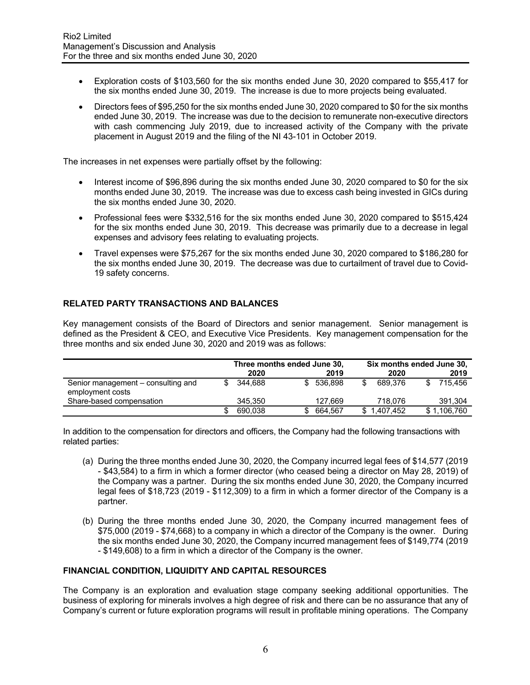- Exploration costs of \$103,560 for the six months ended June 30, 2020 compared to \$55,417 for the six months ended June 30, 2019. The increase is due to more projects being evaluated.
- Directors fees of \$95,250 for the six months ended June 30, 2020 compared to \$0 for the six months ended June 30, 2019. The increase was due to the decision to remunerate non-executive directors with cash commencing July 2019, due to increased activity of the Company with the private placement in August 2019 and the filing of the NI 43-101 in October 2019.

The increases in net expenses were partially offset by the following:

- Interest income of \$96,896 during the six months ended June 30, 2020 compared to \$0 for the six months ended June 30, 2019. The increase was due to excess cash being invested in GICs during the six months ended June 30, 2020.
- Professional fees were \$332,516 for the six months ended June 30, 2020 compared to \$515,424 for the six months ended June 30, 2019. This decrease was primarily due to a decrease in legal expenses and advisory fees relating to evaluating projects.
- Travel expenses were \$75,267 for the six months ended June 30, 2020 compared to \$186,280 for the six months ended June 30, 2019. The decrease was due to curtailment of travel due to Covid-19 safety concerns.

# **RELATED PARTY TRANSACTIONS AND BALANCES**

Key management consists of the Board of Directors and senior management. Senior management is defined as the President & CEO, and Executive Vice Presidents. Key management compensation for the three months and six ended June 30, 2020 and 2019 was as follows:

|                                                        | Three months ended June 30, |         |  | Six months ended June 30, |  |             |  |             |
|--------------------------------------------------------|-----------------------------|---------|--|---------------------------|--|-------------|--|-------------|
|                                                        |                             | 2020    |  | 2019                      |  | 2020        |  | 2019        |
| Senior management – consulting and<br>employment costs |                             | 344.688 |  | 536.898                   |  | 689.376     |  | 715.456     |
| Share-based compensation                               |                             | 345.350 |  | 127.669                   |  | 718.076     |  | 391,304     |
|                                                        |                             | 690.038 |  | 664.567                   |  | \$1,407,452 |  | \$1,106,760 |

In addition to the compensation for directors and officers, the Company had the following transactions with related parties:

- (a) During the three months ended June 30, 2020, the Company incurred legal fees of \$14,577 (2019 - \$43,584) to a firm in which a former director (who ceased being a director on May 28, 2019) of the Company was a partner. During the six months ended June 30, 2020, the Company incurred legal fees of \$18,723 (2019 - \$112,309) to a firm in which a former director of the Company is a partner.
- (b) During the three months ended June 30, 2020, the Company incurred management fees of \$75,000 (2019 - \$74,668) to a company in which a director of the Company is the owner. During the six months ended June 30, 2020, the Company incurred management fees of \$149,774 (2019 - \$149,608) to a firm in which a director of the Company is the owner.

## **FINANCIAL CONDITION, LIQUIDITY AND CAPITAL RESOURCES**

The Company is an exploration and evaluation stage company seeking additional opportunities. The business of exploring for minerals involves a high degree of risk and there can be no assurance that any of Company's current or future exploration programs will result in profitable mining operations. The Company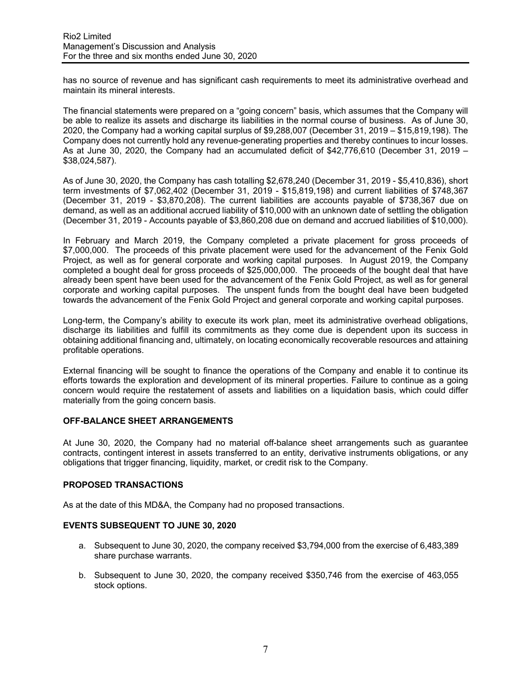has no source of revenue and has significant cash requirements to meet its administrative overhead and maintain its mineral interests.

The financial statements were prepared on a "going concern" basis, which assumes that the Company will be able to realize its assets and discharge its liabilities in the normal course of business. As of June 30, 2020, the Company had a working capital surplus of \$9,288,007 (December 31, 2019 – \$15,819,198). The Company does not currently hold any revenue-generating properties and thereby continues to incur losses.<br>As at June 30, 2020, the Company had an accumulated deficit of \$42,776,610 (December 31, 2019 – \$38,024,587).

As of June 30, 2020, the Company has cash totalling \$2,678,240 (December 31, 2019 - \$5,410,836), short term investments of \$7,062,402 (December 31, 2019 - \$15,819,198) and current liabilities of \$748,367 (December 31, 2019 - \$3,870,208). The current liabilities are accounts payable of \$738,367 due on demand, as well as an additional accrued liability of \$10,000 with an unknown date of settling the obligation (December 31, 2019 - Accounts payable of \$3,860,208 due on demand and accrued liabilities of \$10,000).

In February and March 2019, the Company completed a private placement for gross proceeds of \$7,000,000. The proceeds of this private placement were used for the advancement of the Fenix Gold Project, as well as for general corporate and working capital purposes. In August 2019, the Company completed a bought deal for gross proceeds of \$25,000,000. The proceeds of the bought deal that have already been spent have been used for the advancement of the Fenix Gold Project, as well as for general corporate and working capital purposes. The unspent funds from the bought deal have been budgeted towards the advancement of the Fenix Gold Project and general corporate and working capital purposes.

Long-term, the Company's ability to execute its work plan, meet its administrative overhead obligations, discharge its liabilities and fulfill its commitments as they come due is dependent upon its success in obtaining additional financing and, ultimately, on locating economically recoverable resources and attaining profitable operations.

External financing will be sought to finance the operations of the Company and enable it to continue its efforts towards the exploration and development of its mineral properties. Failure to continue as a going concern would require the restatement of assets and liabilities on a liquidation basis, which could differ materially from the going concern basis.

## **OFF-BALANCE SHEET ARRANGEMENTS**

At June 30, 2020, the Company had no material off-balance sheet arrangements such as guarantee contracts, contingent interest in assets transferred to an entity, derivative instruments obligations, or any obligations that trigger financing, liquidity, market, or credit risk to the Company.

## **PROPOSED TRANSACTIONS**

As at the date of this MD&A, the Company had no proposed transactions.

## **EVENTS SUBSEQUENT TO JUNE 30, 2020**

- a. Subsequent to June 30, 2020, the company received \$3,794,000 from the exercise of 6,483,389 share purchase warrants.
- b. Subsequent to June 30, 2020, the company received \$350,746 from the exercise of 463,055 stock options.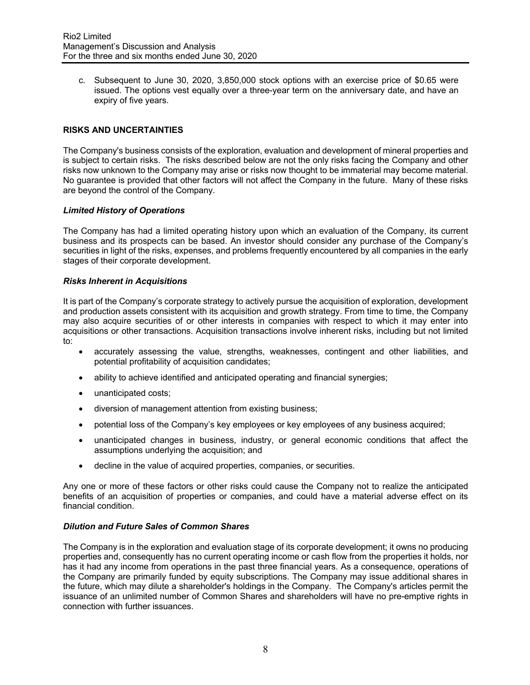c. Subsequent to June 30, 2020, 3,850,000 stock options with an exercise price of \$0.65 were issued. The options vest equally over a three-year term on the anniversary date, and have an expiry of five years.

#### **RISKS AND UNCERTAINTIES**

The Company's business consists of the exploration, evaluation and development of mineral properties and is subject to certain risks. The risks described below are not the only risks facing the Company and other risks now unknown to the Company may arise or risks now thought to be immaterial may become material. No guarantee is provided that other factors will not affect the Company in the future. Many of these risks are beyond the control of the Company.

#### *Limited History of Operations*

The Company has had a limited operating history upon which an evaluation of the Company, its current business and its prospects can be based. An investor should consider any purchase of the Company's securities in light of the risks, expenses, and problems frequently encountered by all companies in the early stages of their corporate development.

#### *Risks Inherent in Acquisitions*

It is part of the Company's corporate strategy to actively pursue the acquisition of exploration, development and production assets consistent with its acquisition and growth strategy. From time to time, the Company may also acquire securities of or other interests in companies with respect to which it may enter into acquisitions or other transactions. Acquisition transactions involve inherent risks, including but not limited to:

- accurately assessing the value, strengths, weaknesses, contingent and other liabilities, and potential profitability of acquisition candidates;
- ability to achieve identified and anticipated operating and financial synergies;
- unanticipated costs;
- diversion of management attention from existing business;
- potential loss of the Company's key employees or key employees of any business acquired;
- unanticipated changes in business, industry, or general economic conditions that affect the assumptions underlying the acquisition; and
- decline in the value of acquired properties, companies, or securities.

Any one or more of these factors or other risks could cause the Company not to realize the anticipated benefits of an acquisition of properties or companies, and could have a material adverse effect on its financial condition.

## *Dilution and Future Sales of Common Shares*

The Company is in the exploration and evaluation stage of its corporate development; it owns no producing properties and, consequently has no current operating income or cash flow from the properties it holds, nor has it had any income from operations in the past three financial years. As a consequence, operations of the Company are primarily funded by equity subscriptions. The Company may issue additional shares in the future, which may dilute a shareholder's holdings in the Company. The Company's articles permit the issuance of an unlimited number of Common Shares and shareholders will have no pre-emptive rights in connection with further issuances.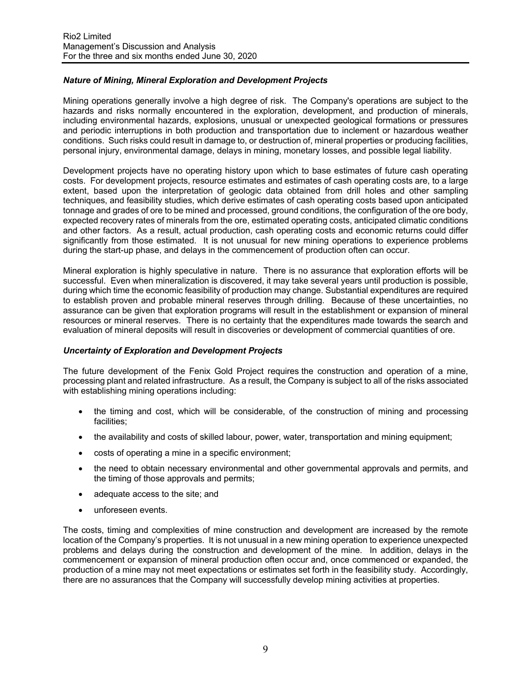## *Nature of Mining, Mineral Exploration and Development Projects*

Mining operations generally involve a high degree of risk. The Company's operations are subject to the hazards and risks normally encountered in the exploration, development, and production of minerals, including environmental hazards, explosions, unusual or unexpected geological formations or pressures and periodic interruptions in both production and transportation due to inclement or hazardous weather conditions. Such risks could result in damage to, or destruction of, mineral properties or producing facilities, personal injury, environmental damage, delays in mining, monetary losses, and possible legal liability.

Development projects have no operating history upon which to base estimates of future cash operating costs. For development projects, resource estimates and estimates of cash operating costs are, to a large extent, based upon the interpretation of geologic data obtained from drill holes and other sampling techniques, and feasibility studies, which derive estimates of cash operating costs based upon anticipated tonnage and grades of ore to be mined and processed, ground conditions, the configuration of the ore body, expected recovery rates of minerals from the ore, estimated operating costs, anticipated climatic conditions and other factors. As a result, actual production, cash operating costs and economic returns could differ significantly from those estimated. It is not unusual for new mining operations to experience problems during the start-up phase, and delays in the commencement of production often can occur.

Mineral exploration is highly speculative in nature. There is no assurance that exploration efforts will be successful. Even when mineralization is discovered, it may take several years until production is possible, during which time the economic feasibility of production may change. Substantial expenditures are required to establish proven and probable mineral reserves through drilling. Because of these uncertainties, no assurance can be given that exploration programs will result in the establishment or expansion of mineral resources or mineral reserves. There is no certainty that the expenditures made towards the search and evaluation of mineral deposits will result in discoveries or development of commercial quantities of ore.

## *Uncertainty of Exploration and Development Projects*

The future development of the Fenix Gold Project requires the construction and operation of a mine, processing plant and related infrastructure. As a result, the Company is subject to all of the risks associated with establishing mining operations including:

- the timing and cost, which will be considerable, of the construction of mining and processing facilities;
- the availability and costs of skilled labour, power, water, transportation and mining equipment;
- costs of operating a mine in a specific environment;
- the need to obtain necessary environmental and other governmental approvals and permits, and the timing of those approvals and permits;
- adequate access to the site; and
- unforeseen events.

The costs, timing and complexities of mine construction and development are increased by the remote location of the Company's properties. It is not unusual in a new mining operation to experience unexpected problems and delays during the construction and development of the mine. In addition, delays in the commencement or expansion of mineral production often occur and, once commenced or expanded, the production of a mine may not meet expectations or estimates set forth in the feasibility study. Accordingly, there are no assurances that the Company will successfully develop mining activities at properties.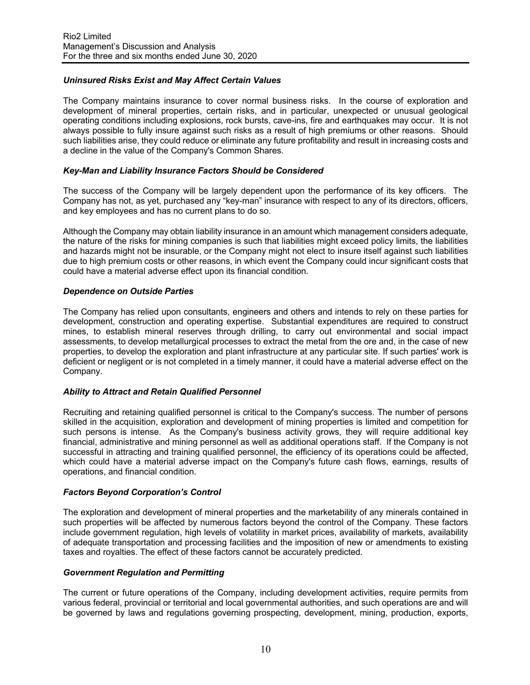# *Uninsured Risks Exist and May Affect Certain Values*

The Company maintains insurance to cover normal business risks. In the course of exploration and development of mineral properties, certain risks, and in particular, unexpected or unusual geological operating conditions including explosions, rock bursts, cave-ins, fire and earthquakes may occur. It is not always possible to fully insure against such risks as a result of high premiums or other reasons. Should such liabilities arise, they could reduce or eliminate any future profitability and result in increasing costs and a decline in the value of the Company's Common Shares.

#### *Key-Man and Liability Insurance Factors Should be Considered*

The success of the Company will be largely dependent upon the performance of its key officers. The Company has not, as yet, purchased any "key-man" insurance with respect to any of its directors, officers, and key employees and has no current plans to do so.

Although the Company may obtain liability insurance in an amount which management considers adequate, the nature of the risks for mining companies is such that liabilities might exceed policy limits, the liabilities and hazards might not be insurable, or the Company might not elect to insure itself against such liabilities due to high premium costs or other reasons, in which event the Company could incur significant costs that could have a material adverse effect upon its financial condition.

#### *Dependence on Outside Parties*

The Company has relied upon consultants, engineers and others and intends to rely on these parties for development, construction and operating expertise. Substantial expenditures are required to construct mines, to establish mineral reserves through drilling, to carry out environmental and social impact assessments, to develop metallurgical processes to extract the metal from the ore and, in the case of new properties, to develop the exploration and plant infrastructure at any particular site. If such parties' work is deficient or negligent or is not completed in a timely manner, it could have a material adverse effect on the Company.

## *Ability to Attract and Retain Qualified Personnel*

Recruiting and retaining qualified personnel is critical to the Company's success. The number of persons skilled in the acquisition, exploration and development of mining properties is limited and competition for such persons is intense. As the Company's business activity grows, they will require additional key financial, administrative and mining personnel as well as additional operations staff. If the Company is not successful in attracting and training qualified personnel, the efficiency of its operations could be affected, which could have a material adverse impact on the Company's future cash flows, earnings, results of operations, and financial condition.

## *Factors Beyond Corporation's Control*

The exploration and development of mineral properties and the marketability of any minerals contained in such properties will be affected by numerous factors beyond the control of the Company. These factors include government regulation, high levels of volatility in market prices, availability of markets, availability of adequate transportation and processing facilities and the imposition of new or amendments to existing taxes and royalties. The effect of these factors cannot be accurately predicted.

#### *Government Regulation and Permitting*

The current or future operations of the Company, including development activities, require permits from various federal, provincial or territorial and local governmental authorities, and such operations are and will be governed by laws and regulations governing prospecting, development, mining, production, exports,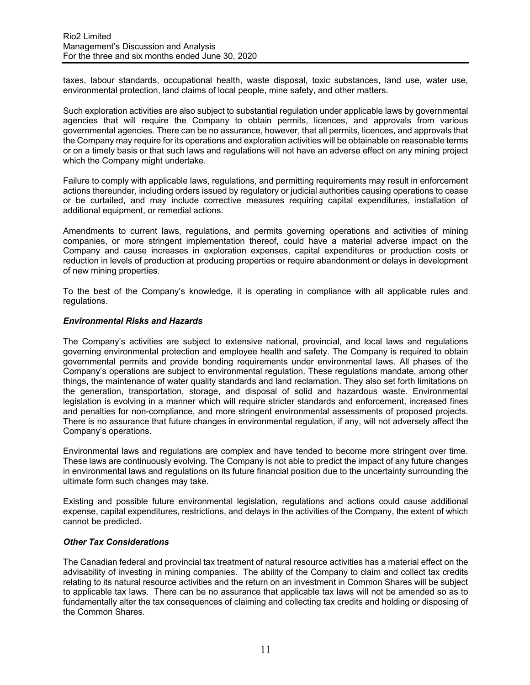taxes, labour standards, occupational health, waste disposal, toxic substances, land use, water use, environmental protection, land claims of local people, mine safety, and other matters.

Such exploration activities are also subject to substantial regulation under applicable laws by governmental agencies that will require the Company to obtain permits, licences, and approvals from various governmental agencies. There can be no assurance, however, that all permits, licences, and approvals that the Company may require for its operations and exploration activities will be obtainable on reasonable terms or on a timely basis or that such laws and regulations will not have an adverse effect on any mining project which the Company might undertake.

Failure to comply with applicable laws, regulations, and permitting requirements may result in enforcement actions thereunder, including orders issued by regulatory or judicial authorities causing operations to cease or be curtailed, and may include corrective measures requiring capital expenditures, installation of additional equipment, or remedial actions.

Amendments to current laws, regulations, and permits governing operations and activities of mining companies, or more stringent implementation thereof, could have a material adverse impact on the Company and cause increases in exploration expenses, capital expenditures or production costs or reduction in levels of production at producing properties or require abandonment or delays in development of new mining properties.

To the best of the Company's knowledge, it is operating in compliance with all applicable rules and regulations.

#### *Environmental Risks and Hazards*

The Company's activities are subject to extensive national, provincial, and local laws and regulations governing environmental protection and employee health and safety. The Company is required to obtain governmental permits and provide bonding requirements under environmental laws. All phases of the Company's operations are subject to environmental regulation. These regulations mandate, among other things, the maintenance of water quality standards and land reclamation. They also set forth limitations on the generation, transportation, storage, and disposal of solid and hazardous waste. Environmental legislation is evolving in a manner which will require stricter standards and enforcement, increased fines and penalties for non-compliance, and more stringent environmental assessments of proposed projects. There is no assurance that future changes in environmental regulation, if any, will not adversely affect the Company's operations.

Environmental laws and regulations are complex and have tended to become more stringent over time. These laws are continuously evolving. The Company is not able to predict the impact of any future changes in environmental laws and regulations on its future financial position due to the uncertainty surrounding the ultimate form such changes may take.

Existing and possible future environmental legislation, regulations and actions could cause additional expense, capital expenditures, restrictions, and delays in the activities of the Company, the extent of which cannot be predicted.

#### *Other Tax Considerations*

The Canadian federal and provincial tax treatment of natural resource activities has a material effect on the advisability of investing in mining companies. The ability of the Company to claim and collect tax credits relating to its natural resource activities and the return on an investment in Common Shares will be subject to applicable tax laws. There can be no assurance that applicable tax laws will not be amended so as to fundamentally alter the tax consequences of claiming and collecting tax credits and holding or disposing of the Common Shares.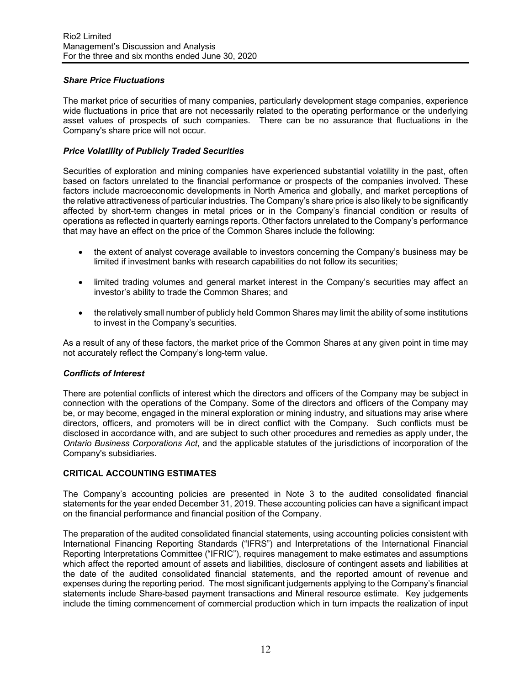## *Share Price Fluctuations*

The market price of securities of many companies, particularly development stage companies, experience wide fluctuations in price that are not necessarily related to the operating performance or the underlying asset values of prospects of such companies. There can be no assurance that fluctuations in the Company's share price will not occur.

## *Price Volatility of Publicly Traded Securities*

Securities of exploration and mining companies have experienced substantial volatility in the past, often based on factors unrelated to the financial performance or prospects of the companies involved. These factors include macroeconomic developments in North America and globally, and market perceptions of the relative attractiveness of particular industries. The Company's share price is also likely to be significantly affected by short-term changes in metal prices or in the Company's financial condition or results of operations as reflected in quarterly earnings reports. Other factors unrelated to the Company's performance that may have an effect on the price of the Common Shares include the following:

- the extent of analyst coverage available to investors concerning the Company's business may be limited if investment banks with research capabilities do not follow its securities;
- limited trading volumes and general market interest in the Company's securities may affect an investor's ability to trade the Common Shares; and
- the relatively small number of publicly held Common Shares may limit the ability of some institutions to invest in the Company's securities.

As a result of any of these factors, the market price of the Common Shares at any given point in time may not accurately reflect the Company's long-term value.

## *Conflicts of Interest*

There are potential conflicts of interest which the directors and officers of the Company may be subject in connection with the operations of the Company. Some of the directors and officers of the Company may be, or may become, engaged in the mineral exploration or mining industry, and situations may arise where directors, officers, and promoters will be in direct conflict with the Company. Such conflicts must be disclosed in accordance with, and are subject to such other procedures and remedies as apply under, the *Ontario Business Corporations Act*, and the applicable statutes of the jurisdictions of incorporation of the Company's subsidiaries.

## **CRITICAL ACCOUNTING ESTIMATES**

The Company's accounting policies are presented in Note 3 to the audited consolidated financial statements for the year ended December 31, 2019. These accounting policies can have a significant impact on the financial performance and financial position of the Company.

The preparation of the audited consolidated financial statements, using accounting policies consistent with International Financing Reporting Standards ("IFRS") and Interpretations of the International Financial Reporting Interpretations Committee ("IFRIC"), requires management to make estimates and assumptions which affect the reported amount of assets and liabilities, disclosure of contingent assets and liabilities at the date of the audited consolidated financial statements, and the reported amount of revenue and expenses during the reporting period. The most significant judgements applying to the Company's financial statements include Share-based payment transactions and Mineral resource estimate. Key judgements include the timing commencement of commercial production which in turn impacts the realization of input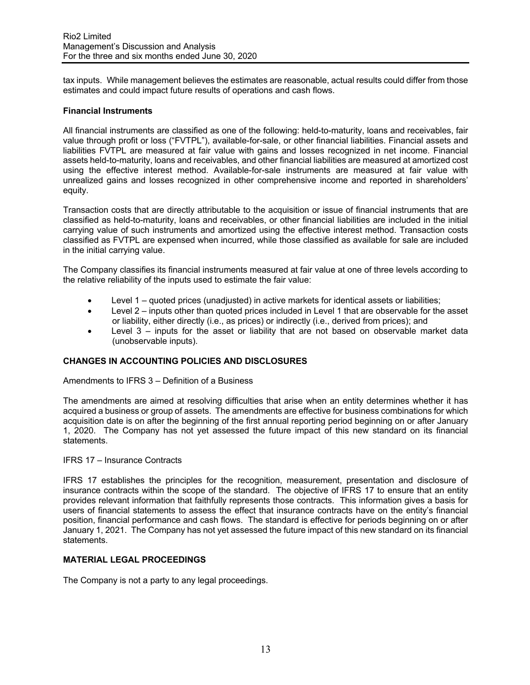tax inputs. While management believes the estimates are reasonable, actual results could differ from those estimates and could impact future results of operations and cash flows.

#### **Financial Instruments**

All financial instruments are classified as one of the following: held-to-maturity, loans and receivables, fair value through profit or loss ("FVTPL"), available-for-sale, or other financial liabilities. Financial assets and liabilities FVTPL are measured at fair value with gains and losses recognized in net income. Financial assets held-to-maturity, loans and receivables, and other financial liabilities are measured at amortized cost using the effective interest method. Available-for-sale instruments are measured at fair value with unrealized gains and losses recognized in other comprehensive income and reported in shareholders' equity.

Transaction costs that are directly attributable to the acquisition or issue of financial instruments that are classified as held-to-maturity, loans and receivables, or other financial liabilities are included in the initial carrying value of such instruments and amortized using the effective interest method. Transaction costs classified as FVTPL are expensed when incurred, while those classified as available for sale are included in the initial carrying value.

The Company classifies its financial instruments measured at fair value at one of three levels according to the relative reliability of the inputs used to estimate the fair value:

- Level 1 quoted prices (unadjusted) in active markets for identical assets or liabilities;
- Level 2 inputs other than quoted prices included in Level 1 that are observable for the asset or liability, either directly (i.e., as prices) or indirectly (i.e., derived from prices); and
- Level 3 inputs for the asset or liability that are not based on observable market data (unobservable inputs).

## **CHANGES IN ACCOUNTING POLICIES AND DISCLOSURES**

#### Amendments to IFRS 3 – Definition of a Business

The amendments are aimed at resolving difficulties that arise when an entity determines whether it has acquired a business or group of assets. The amendments are effective for business combinations for which acquisition date is on after the beginning of the first annual reporting period beginning on or after January 1, 2020. The Company has not yet assessed the future impact of this new standard on its financial statements.

#### IFRS 17 – Insurance Contracts

IFRS 17 establishes the principles for the recognition, measurement, presentation and disclosure of insurance contracts within the scope of the standard. The objective of IFRS 17 to ensure that an entity provides relevant information that faithfully represents those contracts. This information gives a basis for users of financial statements to assess the effect that insurance contracts have on the entity's financial position, financial performance and cash flows. The standard is effective for periods beginning on or after January 1, 2021. The Company has not yet assessed the future impact of this new standard on its financial statements.

#### **MATERIAL LEGAL PROCEEDINGS**

The Company is not a party to any legal proceedings.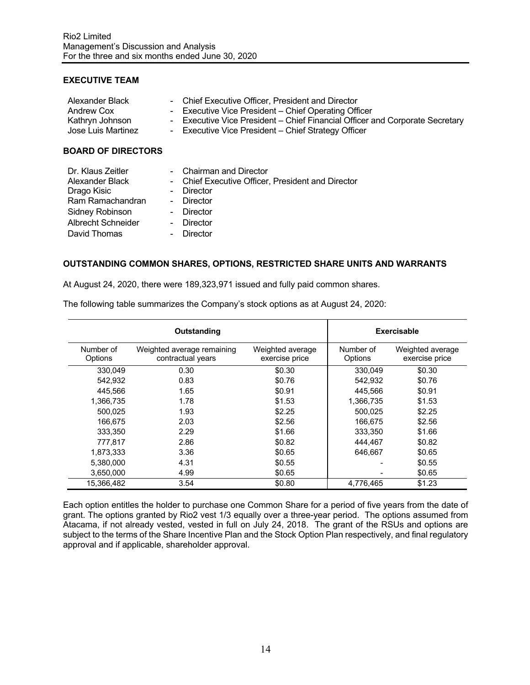#### **EXECUTIVE TEAM**

| Alexander Black<br>Andrew Cox<br>Kathryn Johnson<br>Jose Luis Martinez | - Chief Executive Officer. President and Director<br>- Executive Vice President – Chief Operating Officer<br>- Executive Vice President – Chief Financial Officer and Corporate Secretary<br>- Executive Vice President – Chief Strategy Officer |
|------------------------------------------------------------------------|--------------------------------------------------------------------------------------------------------------------------------------------------------------------------------------------------------------------------------------------------|
| <b>BOARD OF DIRECTORS</b>                                              |                                                                                                                                                                                                                                                  |

| Dr. Klaus Zeitler         | - Chairman and Director                           |
|---------------------------|---------------------------------------------------|
| Alexander Black           | - Chief Executive Officer, President and Director |
| Drago Kisic               | - Director                                        |
| Ram Ramachandran          | - Director                                        |
| Sidney Robinson           | - Director                                        |
| <b>Albrecht Schneider</b> | - Director                                        |
| David Thomas              | - Director                                        |

#### **OUTSTANDING COMMON SHARES, OPTIONS, RESTRICTED SHARE UNITS AND WARRANTS**

At August 24, 2020, there were 189,323,971 issued and fully paid common shares.

|                      | Outstanding                                     | Exercisable                        |                      |                                    |  |
|----------------------|-------------------------------------------------|------------------------------------|----------------------|------------------------------------|--|
| Number of<br>Options | Weighted average remaining<br>contractual years | Weighted average<br>exercise price | Number of<br>Options | Weighted average<br>exercise price |  |
| 330,049              | 0.30                                            | \$0.30                             | 330,049              | \$0.30                             |  |
| 542.932              | 0.83                                            | \$0.76                             | 542.932              | \$0.76                             |  |
| 445,566              | 1.65                                            | \$0.91                             | 445,566              | \$0.91                             |  |
| 1.366.735            | 1.78                                            | \$1.53                             | 1,366,735            | \$1.53                             |  |
| 500.025              | 1.93                                            | \$2.25                             | 500.025              | \$2.25                             |  |
| 166.675              | 2.03                                            | \$2.56                             | 166.675              | \$2.56                             |  |
| 333,350              | 2.29                                            | \$1.66                             | 333,350              | \$1.66                             |  |
| 777.817              | 2.86                                            | \$0.82                             | 444.467              | \$0.82                             |  |
| 1,873,333            | 3.36                                            | \$0.65                             | 646.667              | \$0.65                             |  |
| 5.380.000            | 4.31                                            | \$0.55                             |                      | \$0.55                             |  |
| 3,650,000            | 4.99                                            | \$0.65                             |                      | \$0.65                             |  |
| 15.366.482           | 3.54                                            | \$0.80                             | 4,776,465            | \$1.23                             |  |

The following table summarizes the Company's stock options as at August 24, 2020:

Each option entitles the holder to purchase one Common Share for a period of five years from the date of grant. The options granted by Rio2 vest 1/3 equally over a three-year period. The options assumed from Atacama, if not already vested, vested in full on July 24, 2018. The grant of the RSUs and options are subject to the terms of the Share Incentive Plan and the Stock Option Plan respectively, and final regulatory approval and if applicable, shareholder approval.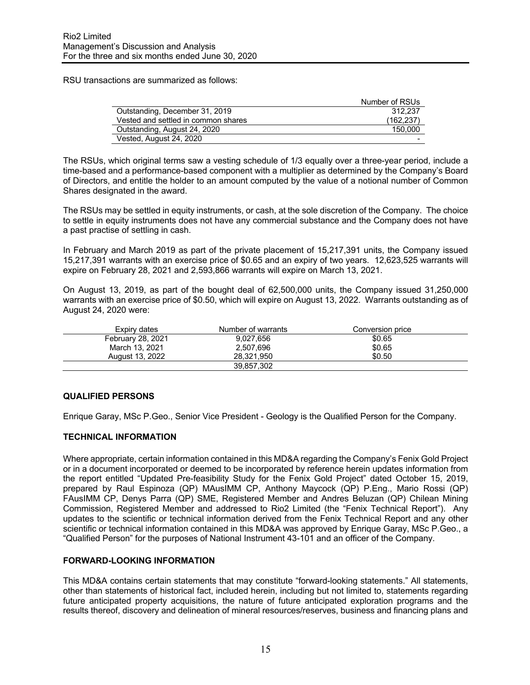RSU transactions are summarized as follows:

|                                     | Number of RSUs |
|-------------------------------------|----------------|
| Outstanding, December 31, 2019      | 312.237        |
| Vested and settled in common shares | (162, 237)     |
| Outstanding, August 24, 2020        | 150,000        |
| Vested, August 24, 2020             |                |

The RSUs, which original terms saw a vesting schedule of 1/3 equally over a three-year period, include a time-based and a performance-based component with a multiplier as determined by the Company's Board of Directors, and entitle the holder to an amount computed by the value of a notional number of Common Shares designated in the award.

The RSUs may be settled in equity instruments, or cash, at the sole discretion of the Company. The choice to settle in equity instruments does not have any commercial substance and the Company does not have a past practise of settling in cash.

In February and March 2019 as part of the private placement of 15,217,391 units, the Company issued 15,217,391 warrants with an exercise price of \$0.65 and an expiry of two years. 12,623,525 warrants will expire on February 28, 2021 and 2,593,866 warrants will expire on March 13, 2021.

On August 13, 2019, as part of the bought deal of 62,500,000 units, the Company issued 31,250,000 warrants with an exercise price of \$0.50, which will expire on August 13, 2022. Warrants outstanding as of August 24, 2020 were:

| Expiry dates      | Number of warrants | Conversion price |
|-------------------|--------------------|------------------|
| February 28, 2021 | 9.027.656          | \$0.65           |
| March 13, 2021    | 2.507.696          | \$0.65           |
| August 13, 2022   | 28.321.950         | \$0.50           |
|                   | 39,857,302         |                  |

## **QUALIFIED PERSONS**

Enrique Garay, MSc P.Geo., Senior Vice President - Geology is the Qualified Person for the Company.

#### **TECHNICAL INFORMATION**

Where appropriate, certain information contained in this MD&A regarding the Company's Fenix Gold Project or in a document incorporated or deemed to be incorporated by reference herein updates information from the report entitled "Updated Pre-feasibility Study for the Fenix Gold Project" dated October 15, 2019, prepared by Raul Espinoza (QP) MAusIMM CP, Anthony Maycock (QP) P.Eng., Mario Rossi (QP) FAusIMM CP, Denys Parra (QP) SME, Registered Member and Andres Beluzan (QP) Chilean Mining Commission, Registered Member and addressed to Rio2 Limited (the "Fenix Technical Report"). Any updates to the scientific or technical information derived from the Fenix Technical Report and any other scientific or technical information contained in this MD&A was approved by Enrique Garay, MSc P.Geo., a "Qualified Person" for the purposes of National Instrument 43-101 and an officer of the Company.

## **FORWARD-LOOKING INFORMATION**

This MD&A contains certain statements that may constitute "forward-looking statements." All statements, other than statements of historical fact, included herein, including but not limited to, statements regarding future anticipated property acquisitions, the nature of future anticipated exploration programs and the results thereof, discovery and delineation of mineral resources/reserves, business and financing plans and